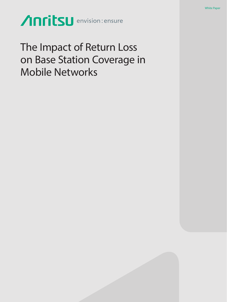Anritsu envision: ensure

The Impact of Return Loss on Base Station Coverage in Mobile Networks

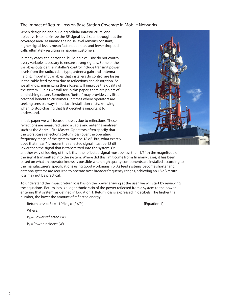## The Impact of Return Loss on Base Station Coverage in Mobile Networks

When designing and building cellular infrastructure, one objective is to maximize the RF signal level seen throughout the coverage area. Assuming the noise level remains constant, higher signal levels mean faster data rates and fewer dropped calls, ultimately resulting in happier customers.

In many cases, the personnel building a cell site do not control every variable necessary to ensure strong signals. Some of the variables outside the installer's control include transmit power levels from the radio, cable type, antenna gain and antenna height. Important variables that installers do control are losses in the cable feed system due to reflections and absorption. As we all know, minimizing these losses will improve the quality of the system. But, as we will see in this paper, there are points of diminishing return. Sometimes "better" may provide very little practical benefit to customers. In times where operators are seeking sensible ways to reduce installation costs, knowing when to stop chasing that last decibel is important to understand.

In this paper we will focus on losses due to reflections. These reflections are measured using a cable and antenna analyzer such as the Anritsu Site Master. Operators often specify that the worst case reflections (return loss) over the operating frequency range of the system must be 18 dB. But, what exactly does that mean? It means the reflected signal must be 18 dB lower than the signal that is transmitted into the system. Or,



another way of looking of this is that the reflected signal must be less than 1/64th the magnitude of the signal transmitted into the system. Where did this limit come from? In many cases, it has been based on what an operator knows is possible when high quality components are installed according to the manufacturer's specifications using good workmanship. As feed systems become shorter and antenna systems are required to operate over broader frequency ranges, achieving an 18 dB return loss may not be practical.

To understand the impact return loss has on the power arriving at the user, we will start by reviewing the equations. Return loss is a logarithmic ratio of the power reflected from a system to the power entering that system, as defined in Equation 1. Return loss is expressed in decibels. The higher the number, the lower the amount of reflected energy.

Return Loss  $(dB) = -10^{*}log_{10} (P_R/P_I)$  [Equation 1]

Where:

 $P_R$  = Power reflected (W)

 $P_1$  = Power incident (W)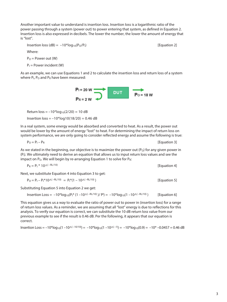Another important value to understand is insertion loss. Insertion loss is a logarithmic ratio of the power passing through a system (power out) to power entering that system, as defined in Equation 2. Insertion loss is also expressed in decibels. The lower the number, the lower the amount of energy that is "lost".

Insertion loss 
$$
(dB) = -10*log_{10}(P_O/P_I)
$$

[Equation 2]

Where:

 $P_{\Omega}$  = Power out (W)

 $P_1$  = Power incident (W)

As an example, we can use Equations 1 and 2 to calculate the insertion loss and return loss of a system where  $P_1$ ,  $P_0$  and  $P_R$  have been measured:

**DUT** 

 $Po = 18$  W

 $P<sub>1</sub> = 20 W$ 

 $P_R = 2 W$ 

Return  $loss = -10*log_{10}(2/20) = 10 dB$ 

Insertion loss = –10\*log10(18/20) = 0.46 dB

In a real system, some energy would be absorbed and converted to heat. As a result, the power out would be lower by the amount of energy "lost" to heat. For determining the impact of return loss on system performance, we are only going to consider reflected energy and assume the following is true:

 $P_0 = P_1 - P_R$  [Equation 3]

As we stated in the beginning, our objective is to maximize the power out  $(P<sub>O</sub>)$  for any given power in (PI). We ultimately need to derive an equation that allows us to input return loss values and see the impact on  $P_0$ . We will begin by re-arranging Equation 1 to solve for  $P_R$ :

 $P_R = P_1 * 10^{\text{A}(-RL/10)}$  [Equation 4]

Next, we substitute Equation 4 into Equation 3 to get:

 $P_0 = P_1 - P_1^* 10^{\Lambda(-RL/10)} = P_1^*(1 - 10^{\Lambda(-RL/10)})$  [Equation 5]

Substituting Equation 5 into Equation 2 we get:

 $Insertion Loss = -10*log_{10}(P_1^*(1 - 10^{\text{A}}(-RL/10) / P_1) = -10*log_{10}(1 - 10^{\text{A}}(-RL/10))$  [Equation 6]

This equation gives us a way to evaluate the ratio of power out to power in (insertion loss) for a range of return loss values. As a reminder, we are assuming that all "lost" energy is due to reflections for this analysis. To verify our equation is correct, we can substitute the 10 dB return loss value from our previous example to see if the result is 0.46 dB. Per the following, it appears that our equation is correct.

Insertion Loss =  $-10^*$ log<sub>10</sub>(1 –10<sup> $\land$  –10<sup> $\land$ </sup>log<sub>10</sub>(1 –10<sup> $\land$  –10<sup> $\land$ </sup>log<sub>10</sub>(0.9) = –10\* –0.0457 = 0.46 dB</sup></sup>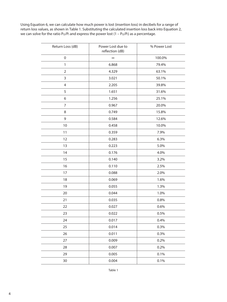Using Equation 6, we can calculate how much power is lost (insertion loss) in decibels for a range of return loss values, as shown in Table 1. Substituting the calculated insertion loss back into Equation 2, we can solve for the ratio  $P_0/P_1$  and express the power lost  $(1 - P_0/P_1)$  as a percentage.

| Return Loss (dB) | Power Lost due to<br>reflection (dB) | % Power Lost |  |
|------------------|--------------------------------------|--------------|--|
| $\boldsymbol{0}$ | $\infty$                             | 100.0%       |  |
| $\mathbf{1}$     | 6.868                                | 79.4%        |  |
| $\mathbf 2$      | 4.329                                | 63.1%        |  |
| 3                | 3.021                                | 50.1%        |  |
| $\overline{4}$   | 2.205                                | 39.8%        |  |
| 5                | 1.651                                | 31.6%        |  |
| 6                | 1.256                                | 25.1%        |  |
| $\overline{7}$   | 0.967                                | 20.0%        |  |
| 8                | 0.749                                | 15.8%        |  |
| 9                | 0.584                                | 12.6%        |  |
| 10               | 0.458                                | 10.0%        |  |
| 11               | 0.359                                | 7.9%         |  |
| 12               | 0.283                                | 6.3%         |  |
| 13               | 0.223                                | 5.0%         |  |
| 14               | 0.176                                | 4.0%         |  |
| 15               | 0.140                                | 3.2%         |  |
| 16               | 0.110                                | 2.5%         |  |
| 17               | 0.088                                | 2.0%         |  |
| 18               | 0.069                                | 1.6%         |  |
| 19               | 0.055                                | 1.3%         |  |
| 20               | 0.044                                | 1.0%         |  |
| 21               | 0.035                                | 0.8%         |  |
| 22               | 0.027                                | 0.6%         |  |
| 23               | 0.022                                | 0.5%         |  |
| 24               | 0.017                                | 0.4%         |  |
| 25               | 0.014                                | 0.3%         |  |
| 26               | 0.011                                | 0.3%         |  |
| 27               | 0.009                                | 0.2%         |  |
| 28               | 0.007                                | 0.2%         |  |
| 29               | 0.005                                | 0.1%         |  |
| 30               | 0.004                                | 0.1%         |  |
|                  |                                      |              |  |

Table 1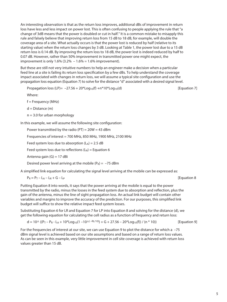An interesting observation is that as the return loss improves, additional dBs of improvement in return loss have less and less impact on power lost. This is often confusing to people applying the rule that "a change of 3dB means that the power is doubled or cut in half." It is a common mistake to misapply this rule and falsely believe that improving return loss from 15 dB to 18 dB, for example, will double the coverage area of a site. What actually occurs is that the power lost is reduced by half (relative to its starting value) when the return loss changes by 3 dB. Looking at Table 1, the power lost due to a 15 dB return loss is 0.14 dB. By improving the return loss to 18 dB, the power lost is indeed reduced by half to 0.07 dB. However, rather than 50% improvement in transmitted power one might expect, the improvement is only  $1.6\%$  (3.2% –  $1.6\%$  =  $1.6\%$  improvement).

But these are still not very intuitive numbers to help an engineer make a decision when a particular feed line at a site is failing its return loss specification by a few dBs. To help understand the coverage impact associated with changes in return loss, we will assume a typical site configuration and use the propagation loss equation (Equation 7) to solve for the distance "d" associated with a desired signal level.

Propagation loss (LP)=  $-27.56 + 20*Log_{10}(f) + n*10*Log_{10}(d)$  [Equation 7]

Where:

 $f =$  Frequency (MHz)

 $d = Distance(m)$ 

 $n = 3.0$  for urban morphology

In this example, we will assume the following site configuration:

Power transmitted by the radio ( $PT$ ) = 20W = 43 dBm

Frequencies of interest = 700 MHz, 850 MHz, 1900 MHz, 2100 MHz

Feed system loss due to absorption  $(L_A) = 2.5$  dB

Feed system loss due to reflections  $(L_R)$  = Equation 6

Antenna gain  $(G) = 17$  dBi

Desired power level arriving at the mobile ( $P_R$ ) = -75 dBm

A simplified link equation for calculating the signal level arriving at the mobile can be expressed as:

$$
P_R = P_T - L_A - L_R + G - L_P
$$
 [Equation 8]

Putting Equation 8 into words, it says that the power arriving at the mobile is equal to the power transmitted by the radio, minus the losses in the feed system due to absorption and reflection, plus the gain of the antenna, minus the line of sight propagation loss. An actual link budget will contain other variables and margins to improve the accuracy of the prediction. For our purposes, this simplified link budget will suffice to show the relative impact feed system losses.

Substituting Equation 6 for LR and Equation 7 for LP into Equation 8 and solving for the distance (d), we get the following equation for calculating the cell radius as a function of frequency and return loss:

 $d = 10^{\text{A}} ((P_T - P_R - L_A + 10^*Log_{10}(1 - 10^{\text{A}}(-RU^{10})) + G + 27.56 - 20^*Log_{10}(f))/(n * 10))$  [Equation 9]

For the frequencies of interest at our site, we can use Equation 9 to plot the distance for which a –75 dBm signal level is achieved based on our site assumptions and based on a range of return loss values. As can be seen in this example, very little improvement in cell site coverage is achieved with return loss values greater than 15 dB.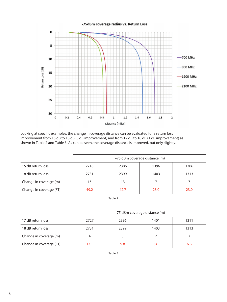## -75dBm coverage radius vs. Return Loss



Looking at specific examples, the change in coverage distance can be evaluated for a return loss improvement from 15 dB to 18 dB (3 dB improvement) and from 17 dB to 18 dB (1 dB improvement) as shown in Table 2 and Table 3. As can be seen, the coverage distance is improved, but only slightly.

|                         | -75 dBm coverage distance (m) |      |      |      |
|-------------------------|-------------------------------|------|------|------|
| 15 dB return loss       | 2716                          | 2386 | 1396 | 1306 |
| 18 dB return loss       | 2731                          | 2399 | 1403 | 1313 |
| Change in coverage (m)  | 15                            | 13   |      |      |
| Change in coverage (FT) | 49.2                          | 42.7 | 23.0 | 23.0 |

Table 2

|                         | -75 dBm coverage distance (m) |      |      |      |
|-------------------------|-------------------------------|------|------|------|
| 17 dB return loss       | 2727                          | 2396 | 1401 | 1311 |
| 18 dB return loss       | 2731                          | 2399 | 1403 | 1313 |
| Change in coverage (m)  |                               |      |      |      |
| Change in coverage (FT) | 13.1                          | 9.8  | 6.6  | 6.6  |

Table 3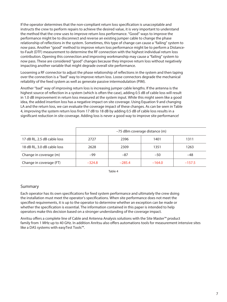If the operator determines that the non-compliant return loss specification is unacceptable and instructs the crew to perform repairs to achieve the desired value, it is very important to understand the method that the crew uses to improve return loss performance. "Good" ways to improve the performance might be to disconnect and reverse an existing jumper cable to change the phase relationship of reflections in the system. Sometimes, this type of change can cause a "failing" system to now pass. Another "good" method to improve return loss performance might be to perform a Distanceto-Fault (DTF) measurement to determine the RF connection with the highest individual return loss contribution. Opening this connection and improving workmanship may cause a "failing" system to now pass. These are considered "good" changes because they improve return loss without negatively impacting another variable that might degrade overall site performance.

Loosening a RF connector to adjust the phase relationship of reflections in the system and then taping over the connection is a "bad" way to improve return loss. Loose connectors degrade the mechanical reliability of the feed system as well as generate passive intermodulation (PIM).

Another "bad" way of improving return loss is increasing jumper cable lengths. If the antenna is the highest source of reflection in a system (which is often the case), adding 0.5 dB of cable loss will result in 1.0 dB improvement in return loss measured at the system input. While this might seem like a good idea, the added insertion loss has a negative impact on site coverage. Using Equation 9 and changing LA and the return loss, we can evaluate the coverage impact of these changes. As can be seen in Table 4, improving the system return loss from 17 dB to 18 dB by adding 0.5 dB of cable loss results in a significant reduction in site coverage. Adding loss is never a good way to improve site performance!

|                             | -75 dBm coverage distance (m) |          |          |          |
|-----------------------------|-------------------------------|----------|----------|----------|
| 17 dB RL, 2.5 dB cable loss | 2727                          | 2396     | 1401     | 1311     |
| 18 dB RL, 3.0 dB cable loss | 2628                          | 2309     | 1351     | 1263     |
| Change in coverage (m)      | $-99$                         | $-87$    | $-50$    | $-48$    |
| Change in coverage (FT)     | $-324.8$                      | $-285.4$ | $-164.0$ | $-157.5$ |

Table 4

## Summary

Each operator has its own specifications for feed system performance and ultimately the crew doing the installation must meet the operator's specifications. When site performance does not meet the specified requirements, it is up to the operator to determine whether an exception can be made or whether the specification is essential. The information contained in this paper is intended to help operators make this decision based on a stronger understanding of the coverage impact.

Anritsu offers a complete line of Cable and Antenna Analysis solutions with the Site Master™ product family from 1 MHz up to 40 GHz. In addition Anritsu also offers automations tools for measurement intensive sites like a DAS systems with easyTest Tools™.